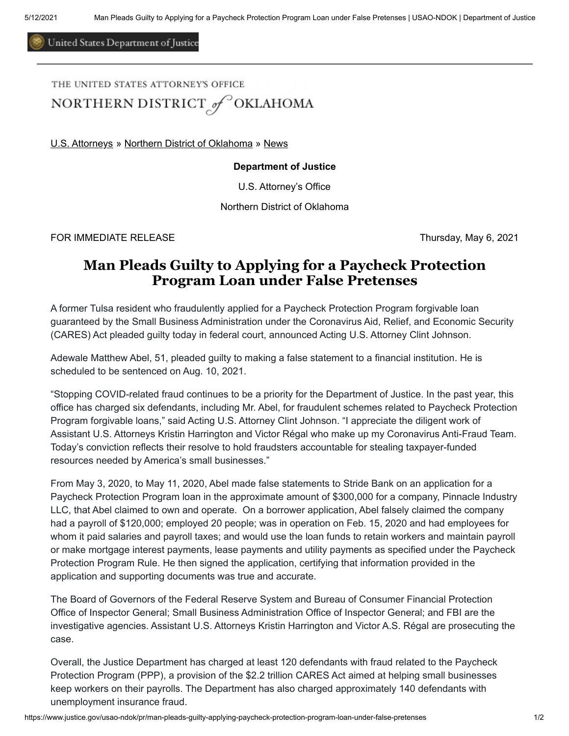United States Department of Justice

## THE UNITED STATES ATTORNEY'S OFFICE NORTHERN DISTRICT of OKLAHOMA

[U.S. Attorneys](https://www.justice.gov/usao) » [Northern District of Oklahoma](https://www.justice.gov/usao-ndok) » [News](https://www.justice.gov/usao-ndok/pr)

## **Department of Justice**

U.S. Attorney's Office

Northern District of Oklahoma

FOR IMMEDIATE RELEASE Thursday, May 6, 2021

## **Man Pleads Guilty to Applying for a Paycheck Protection Program Loan under False Pretenses**

A former Tulsa resident who fraudulently applied for a Paycheck Protection Program forgivable loan guaranteed by the Small Business Administration under the Coronavirus Aid, Relief, and Economic Security (CARES) Act pleaded guilty today in federal court, announced Acting U.S. Attorney Clint Johnson.

Adewale Matthew Abel, 51, pleaded guilty to making a false statement to a financial institution. He is scheduled to be sentenced on Aug. 10, 2021.

"Stopping COVID-related fraud continues to be a priority for the Department of Justice. In the past year, this office has charged six defendants, including Mr. Abel, for fraudulent schemes related to Paycheck Protection Program forgivable loans," said Acting U.S. Attorney Clint Johnson. "I appreciate the diligent work of Assistant U.S. Attorneys Kristin Harrington and Victor Régal who make up my Coronavirus Anti-Fraud Team. Today's conviction reflects their resolve to hold fraudsters accountable for stealing taxpayer-funded resources needed by America's small businesses."

From May 3, 2020, to May 11, 2020, Abel made false statements to Stride Bank on an application for a Paycheck Protection Program loan in the approximate amount of \$300,000 for a company, Pinnacle Industry LLC, that Abel claimed to own and operate. On a borrower application, Abel falsely claimed the company had a payroll of \$120,000; employed 20 people; was in operation on Feb. 15, 2020 and had employees for whom it paid salaries and payroll taxes; and would use the loan funds to retain workers and maintain payroll or make mortgage interest payments, lease payments and utility payments as specified under the Paycheck Protection Program Rule. He then signed the application, certifying that information provided in the application and supporting documents was true and accurate.

The Board of Governors of the Federal Reserve System and Bureau of Consumer Financial Protection Office of Inspector General; Small Business Administration Office of Inspector General; and FBI are the investigative agencies. Assistant U.S. Attorneys Kristin Harrington and Victor A.S. Régal are prosecuting the case.

Overall, the Justice Department has charged at least 120 defendants with fraud related to the Paycheck Protection Program (PPP), a provision of the \$2.2 trillion CARES Act aimed at helping small businesses keep workers on their payrolls. The Department has also charged approximately 140 defendants with unemployment insurance fraud.